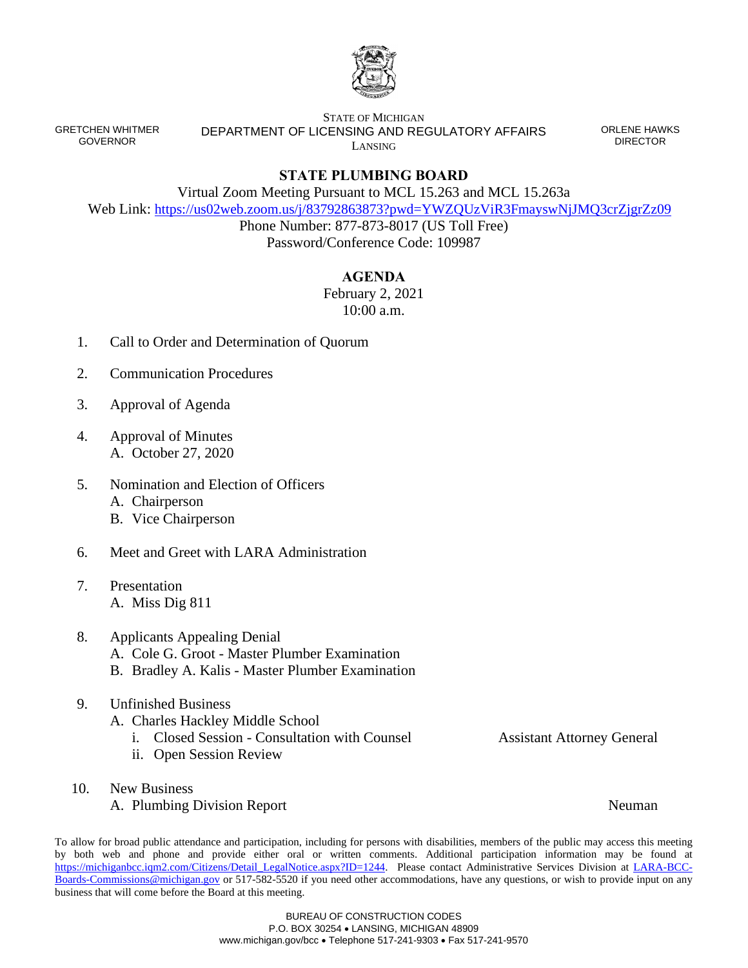

GRETCHEN WHITMER GOVERNOR

## STATE OF MICHIGAN DEPARTMENT OF LICENSING AND REGULATORY AFFAIRS LANSING

ORLENE HAWKS DIRECTOR

## **STATE PLUMBING BOARD**

Virtual Zoom Meeting Pursuant to MCL 15.263 and MCL 15.263a

Web Link: <https://us02web.zoom.us/j/83792863873?pwd=YWZQUzViR3FmayswNjJMQ3crZjgrZz09>

Phone Number: 877-873-8017 (US Toll Free) Password/Conference Code: 109987

## **AGENDA**

February 2, 2021 10:00 a.m.

- 1. Call to Order and Determination of Quorum
- 2. Communication Procedures
- 3. Approval of Agenda
- 4. Approval of Minutes A. October 27, 2020
- 5. Nomination and Election of Officers
	- A. Chairperson
	- B. Vice Chairperson
- 6. Meet and Greet with LARA Administration
- 7. Presentation A. Miss Dig 811
- 8. Applicants Appealing Denial A. Cole G. Groot - Master Plumber Examination B. Bradley A. Kalis - Master Plumber Examination
- 9. Unfinished Business
	- A. Charles Hackley Middle School
		- i. Closed Session Consultation with Counsel Assistant Attorney General
		- ii. Open Session Review
- 10. New Business
	- A. Plumbing Division Report Neuman Neuman

To allow for broad public attendance and participation, including for persons with disabilities, members of the public may access this meeting by both web and phone and provide either oral or written comments. Additional participation information may be found at [https://michiganbcc.iqm2.com/Citizens/Detail\\_LegalNotice.aspx?ID=1244.](https://michiganbcc.iqm2.com/Citizens/Detail_LegalNotice.aspx?ID=1244) Please contact Administrative Services Division at [LARA-BCC-](mailto:LARA-BCC-Boards-Commissions@michigan.gov)[Boards-Commissions@michigan.gov](mailto:LARA-BCC-Boards-Commissions@michigan.gov) or 517-582-5520 if you need other accommodations, have any questions, or wish to provide input on any business that will come before the Board at this meeting.